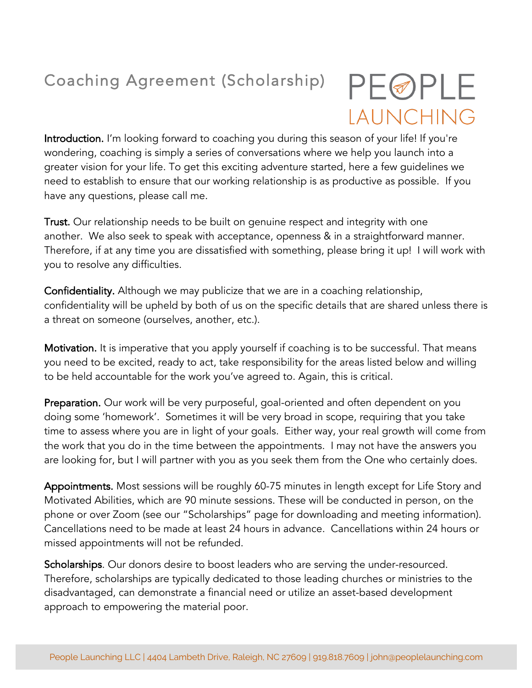## Coaching Agreement (Scholarship)

## PEØPLE LAUNCHING

Introduction. I'm looking forward to coaching you during this season of your life! If you're wondering, coaching is simply a series of conversations where we help you launch into a greater vision for your life. To get this exciting adventure started, here a few guidelines we need to establish to ensure that our working relationship is as productive as possible. If you have any questions, please call me.

Trust. Our relationship needs to be built on genuine respect and integrity with one another. We also seek to speak with acceptance, openness & in a straightforward manner. Therefore, if at any time you are dissatisfied with something, please bring it up! I will work with you to resolve any difficulties.

Confidentiality. Although we may publicize that we are in a coaching relationship, confidentiality will be upheld by both of us on the specific details that are shared unless there is a threat on someone (ourselves, another, etc.).

Motivation. It is imperative that you apply yourself if coaching is to be successful. That means you need to be excited, ready to act, take responsibility for the areas listed below and willing to be held accountable for the work you've agreed to. Again, this is critical.

Preparation. Our work will be very purposeful, goal-oriented and often dependent on you doing some 'homework'. Sometimes it will be very broad in scope, requiring that you take time to assess where you are in light of your goals. Either way, your real growth will come from the work that you do in the time between the appointments. I may not have the answers you are looking for, but I will partner with you as you seek them from the One who certainly does.

Appointments. Most sessions will be roughly 60-75 minutes in length except for Life Story and Motivated Abilities, which are 90 minute sessions. These will be conducted in person, on the phone or over Zoom (see our "Scholarships" page for downloading and meeting information). Cancellations need to be made at least 24 hours in advance. Cancellations within 24 hours or missed appointments will not be refunded.

Scholarships. Our donors desire to boost leaders who are serving the under-resourced. Therefore, scholarships are typically dedicated to those leading churches or ministries to the disadvantaged, can demonstrate a financial need or utilize an asset-based development approach to empowering the material poor.